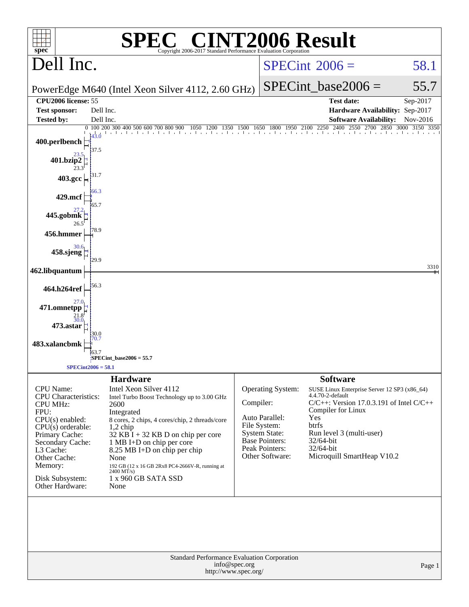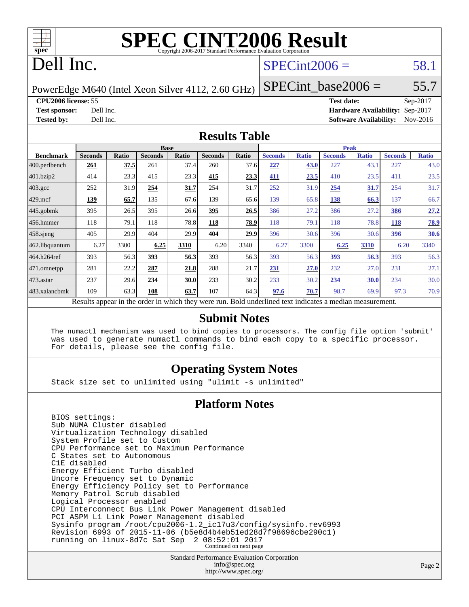

# Dell Inc.

### $SPECint2006 = 58.1$  $SPECint2006 = 58.1$

PowerEdge M640 (Intel Xeon Silver 4112, 2.60 GHz)

 $SPECTnt\_base2006 = 55.7$ 

**[CPU2006 license:](http://www.spec.org/auto/cpu2006/Docs/result-fields.html#CPU2006license)** 55 **[Test date:](http://www.spec.org/auto/cpu2006/Docs/result-fields.html#Testdate)** Sep-2017

**[Test sponsor:](http://www.spec.org/auto/cpu2006/Docs/result-fields.html#Testsponsor)** Dell Inc. **[Hardware Availability:](http://www.spec.org/auto/cpu2006/Docs/result-fields.html#HardwareAvailability)** Sep-2017 **[Tested by:](http://www.spec.org/auto/cpu2006/Docs/result-fields.html#Testedby)** Dell Inc. **[Software Availability:](http://www.spec.org/auto/cpu2006/Docs/result-fields.html#SoftwareAvailability)** Nov-2016

### **[Results Table](http://www.spec.org/auto/cpu2006/Docs/result-fields.html#ResultsTable)**

|                                                                                                          | <b>Base</b>    |              |                |       |                | <b>Peak</b> |                |              |                |              |                |              |
|----------------------------------------------------------------------------------------------------------|----------------|--------------|----------------|-------|----------------|-------------|----------------|--------------|----------------|--------------|----------------|--------------|
| <b>Benchmark</b>                                                                                         | <b>Seconds</b> | <b>Ratio</b> | <b>Seconds</b> | Ratio | <b>Seconds</b> | Ratio       | <b>Seconds</b> | <b>Ratio</b> | <b>Seconds</b> | <b>Ratio</b> | <b>Seconds</b> | <b>Ratio</b> |
| $ 400$ .perlbench                                                                                        | 261            | 37.5         | 261            | 37.4  | 260            | 37.6        | 227            | 43.0         | 227            | 43.1         | 227            | 43.0         |
| 401.bzip2                                                                                                | 414            | 23.3         | 415            | 23.3  | 415            | 23.3        | 411            | 23.5         | 410            | 23.5         | 411            | 23.5         |
| $403.\text{gcc}$                                                                                         | 252            | 31.9         | 254            | 31.7  | 254            | 31.7        | 252            | 31.9         | 254            | <u>31.7</u>  | 254            | 31.7         |
| $429$ mcf                                                                                                | 139            | 65.7         | 135            | 67.6  | 139            | 65.6        | 139            | 65.8         | 138            | 66.3         | 137            | 66.7         |
| $445$ .gobmk                                                                                             | 395            | 26.5         | 395            | 26.6  | <u>395</u>     | 26.5        | 386            | 27.2         | 386            | 27.2         | 386            | 27.2         |
| $456.$ hmmer                                                                                             | 118            | 79.1         | 118            | 78.8  | 118            | 78.9        | 118            | 79.1         | 118            | 78.8         | 118            | 78.9         |
| $458$ .sjeng                                                                                             | 405            | 29.9         | 404            | 29.9  | 404            | 29.9        | 396            | 30.6         | 396            | 30.6         | 396            | 30.6         |
| 462.libquantum                                                                                           | 6.27           | 3300         | 6.25           | 3310  | 6.20           | 3340        | 6.27           | 3300         | 6.25           | 3310         | 6.20           | 3340         |
| 464.h264ref                                                                                              | 393            | 56.3         | 393            | 56.3  | 393            | 56.3        | 393            | 56.3         | 393            | 56.3         | 393            | 56.3         |
| $ 471$ .omnetpp                                                                                          | 281            | 22.2         | 287            | 21.8  | 288            | 21.7        | <u>231</u>     | 27.0         | 232            | 27.0         | 231            | 27.1         |
| $473$ . astar                                                                                            | 237            | 29.6         | 234            | 30.0  | 233            | 30.2        | 233            | 30.2         | 234            | 30.0         | 234            | 30.0         |
| 483.xalancbmk                                                                                            | 109            | 63.3         | 108            | 63.7  | 107            | 64.3        | 97.6           | 70.7         | 98.7           | 69.9         | 97.3           | 70.9         |
| Results appear in the order in which they were run. Bold underlined text indicates a median measurement. |                |              |                |       |                |             |                |              |                |              |                |              |

### **[Submit Notes](http://www.spec.org/auto/cpu2006/Docs/result-fields.html#SubmitNotes)**

 The numactl mechanism was used to bind copies to processors. The config file option 'submit' was used to generate numactl commands to bind each copy to a specific processor. For details, please see the config file.

### **[Operating System Notes](http://www.spec.org/auto/cpu2006/Docs/result-fields.html#OperatingSystemNotes)**

Stack size set to unlimited using "ulimit -s unlimited"

### **[Platform Notes](http://www.spec.org/auto/cpu2006/Docs/result-fields.html#PlatformNotes)**

 BIOS settings: Sub NUMA Cluster disabled Virtualization Technology disabled System Profile set to Custom CPU Performance set to Maximum Performance C States set to Autonomous C1E disabled Energy Efficient Turbo disabled Uncore Frequency set to Dynamic Energy Efficiency Policy set to Performance Memory Patrol Scrub disabled Logical Processor enabled CPU Interconnect Bus Link Power Management disabled PCI ASPM L1 Link Power Management disabled Sysinfo program /root/cpu2006-1.2\_ic17u3/config/sysinfo.rev6993 Revision 6993 of 2015-11-06 (b5e8d4b4eb51ed28d7f98696cbe290c1) running on linux-8d7c Sat Sep 2 08:52:01 2017 Continued on next page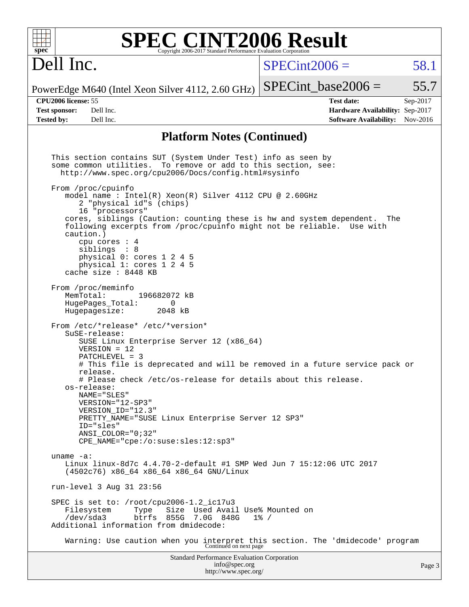| $spec^*$                                    |                                                                                                                                                                                                                                                                                                                                                                                                                                                                                                                                                                                                                                                                                                                                                                                                                                                                                                                                                                                                                                                                                                              |                              | <b>SPEC CINT2006 Result</b><br>Copyright 2006-2017 Standard Performance Evaluation Corporation |                 |                                                                                                                                                                                                                            |          |
|---------------------------------------------|--------------------------------------------------------------------------------------------------------------------------------------------------------------------------------------------------------------------------------------------------------------------------------------------------------------------------------------------------------------------------------------------------------------------------------------------------------------------------------------------------------------------------------------------------------------------------------------------------------------------------------------------------------------------------------------------------------------------------------------------------------------------------------------------------------------------------------------------------------------------------------------------------------------------------------------------------------------------------------------------------------------------------------------------------------------------------------------------------------------|------------------------------|------------------------------------------------------------------------------------------------|-----------------|----------------------------------------------------------------------------------------------------------------------------------------------------------------------------------------------------------------------------|----------|
| Dell Inc.                                   |                                                                                                                                                                                                                                                                                                                                                                                                                                                                                                                                                                                                                                                                                                                                                                                                                                                                                                                                                                                                                                                                                                              |                              |                                                                                                | $SPECint2006 =$ |                                                                                                                                                                                                                            | 58.1     |
|                                             | PowerEdge M640 (Intel Xeon Silver 4112, 2.60 GHz)                                                                                                                                                                                                                                                                                                                                                                                                                                                                                                                                                                                                                                                                                                                                                                                                                                                                                                                                                                                                                                                            |                              |                                                                                                |                 | $SPECint base2006 =$                                                                                                                                                                                                       | 55.7     |
| CPU2006 license: 55<br><b>Test sponsor:</b> | Dell Inc.                                                                                                                                                                                                                                                                                                                                                                                                                                                                                                                                                                                                                                                                                                                                                                                                                                                                                                                                                                                                                                                                                                    |                              |                                                                                                |                 | <b>Test date:</b><br>Hardware Availability: Sep-2017                                                                                                                                                                       | Sep-2017 |
| <b>Tested by:</b>                           | Dell Inc.                                                                                                                                                                                                                                                                                                                                                                                                                                                                                                                                                                                                                                                                                                                                                                                                                                                                                                                                                                                                                                                                                                    |                              |                                                                                                |                 | <b>Software Availability:</b> Nov-2016                                                                                                                                                                                     |          |
|                                             |                                                                                                                                                                                                                                                                                                                                                                                                                                                                                                                                                                                                                                                                                                                                                                                                                                                                                                                                                                                                                                                                                                              |                              | <b>Platform Notes (Continued)</b>                                                              |                 |                                                                                                                                                                                                                            |          |
| uname $-a$ :                                | This section contains SUT (System Under Test) info as seen by<br>some common utilities. To remove or add to this section, see:<br>http://www.spec.org/cpu2006/Docs/config.html#sysinfo<br>From /proc/cpuinfo<br>model name: $Intel(R)$ Xeon(R) Silver 4112 CPU @ 2.60GHz<br>2 "physical id"s (chips)<br>16 "processors"<br>caution.)<br>cpu cores $: 4$<br>siblings : 8<br>physical 0: cores 1 2 4 5<br>physical 1: cores 1 2 4 5<br>cache size : 8448 KB<br>From /proc/meminfo<br>MemTotal:<br>HugePages Total:<br>Hugepagesize:<br>From /etc/*release* /etc/*version*<br>SuSE-release:<br>SUSE Linux Enterprise Server 12 (x86_64)<br>$VERSION = 12$<br>$PATCHLEVEL = 3$<br>release.<br># Please check /etc/os-release for details about this release.<br>os-release:<br>NAME="SLES"<br>VERSION="12-SP3"<br>VERSION_ID="12.3"<br>PRETTY_NAME="SUSE Linux Enterprise Server 12 SP3"<br>ID="sles"<br>ANSI COLOR="0;32"<br>CPE NAME="cpe:/o:suse:sles:12:sp3"<br>Linux linux-8d7c 4.4.70-2-default #1 SMP Wed Jun 7 15:12:06 UTC 2017<br>(4502c76) x86_64 x86_64 x86_64 GNU/Linux<br>run-level 3 Aug 31 23:56 | 196682072 kB<br>0<br>2048 kB |                                                                                                |                 | cores, siblings (Caution: counting these is hw and system dependent.<br>following excerpts from /proc/cpuinfo might not be reliable. Use with<br># This file is deprecated and will be removed in a future service pack or | The      |
|                                             | SPEC is set to: /root/cpu2006-1.2_ic17u3<br>Filesystem<br>Type<br>/dev/sda3<br>Additional information from dmidecode:                                                                                                                                                                                                                                                                                                                                                                                                                                                                                                                                                                                                                                                                                                                                                                                                                                                                                                                                                                                        | btrfs 855G 7.0G 848G         | Size Used Avail Use% Mounted on                                                                | $1\%$ /         |                                                                                                                                                                                                                            |          |
|                                             |                                                                                                                                                                                                                                                                                                                                                                                                                                                                                                                                                                                                                                                                                                                                                                                                                                                                                                                                                                                                                                                                                                              |                              |                                                                                                |                 | Warning: Use caution when you interpret this section. The 'dmidecode' program Continued on next page                                                                                                                       |          |
|                                             |                                                                                                                                                                                                                                                                                                                                                                                                                                                                                                                                                                                                                                                                                                                                                                                                                                                                                                                                                                                                                                                                                                              |                              | Standard Performance Evaluation Corporation<br>info@spec.org<br>http://www.spec.org/           |                 |                                                                                                                                                                                                                            | Page 3   |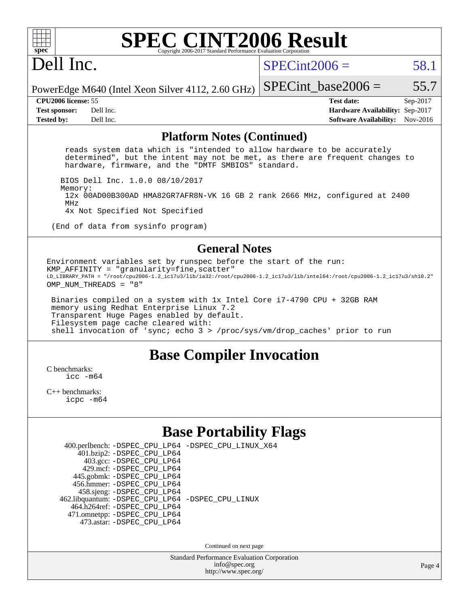

# Dell Inc.

 $SPECint2006 = 58.1$  $SPECint2006 = 58.1$ 

PowerEdge M640 (Intel Xeon Silver 4112, 2.60 GHz) SPECint base2006 =  $55.7$ 

**[CPU2006 license:](http://www.spec.org/auto/cpu2006/Docs/result-fields.html#CPU2006license)** 55 **[Test date:](http://www.spec.org/auto/cpu2006/Docs/result-fields.html#Testdate)** Sep-2017 **[Test sponsor:](http://www.spec.org/auto/cpu2006/Docs/result-fields.html#Testsponsor)** Dell Inc. **[Hardware Availability:](http://www.spec.org/auto/cpu2006/Docs/result-fields.html#HardwareAvailability)** Sep-2017 **[Tested by:](http://www.spec.org/auto/cpu2006/Docs/result-fields.html#Testedby)** Dell Inc. **[Software Availability:](http://www.spec.org/auto/cpu2006/Docs/result-fields.html#SoftwareAvailability)** Nov-2016

#### **[Platform Notes \(Continued\)](http://www.spec.org/auto/cpu2006/Docs/result-fields.html#PlatformNotes)**

 reads system data which is "intended to allow hardware to be accurately determined", but the intent may not be met, as there are frequent changes to hardware, firmware, and the "DMTF SMBIOS" standard.

BIOS Dell Inc. 1.0.0 08/10/2017

 Memory: 12x 00AD00B300AD HMA82GR7AFR8N-VK 16 GB 2 rank 2666 MHz, configured at 2400 MHz

4x Not Specified Not Specified

(End of data from sysinfo program)

### **[General Notes](http://www.spec.org/auto/cpu2006/Docs/result-fields.html#GeneralNotes)**

Environment variables set by runspec before the start of the run:  $KMP_A$ FFINITY = "granularity=fine, scatter" LD\_LIBRARY\_PATH = "/root/cpu2006-1.2\_ic17u3/lib/ia32:/root/cpu2006-1.2\_ic17u3/lib/intel64:/root/cpu2006-1.2\_ic17u3/sh10.2" OMP\_NUM\_THREADS = "8"

 Binaries compiled on a system with 1x Intel Core i7-4790 CPU + 32GB RAM memory using Redhat Enterprise Linux 7.2 Transparent Huge Pages enabled by default. Filesystem page cache cleared with: shell invocation of 'sync; echo 3 > /proc/sys/vm/drop\_caches' prior to run

### **[Base Compiler Invocation](http://www.spec.org/auto/cpu2006/Docs/result-fields.html#BaseCompilerInvocation)**

[C benchmarks](http://www.spec.org/auto/cpu2006/Docs/result-fields.html#Cbenchmarks): [icc -m64](http://www.spec.org/cpu2006/results/res2017q4/cpu2006-20170918-49859.flags.html#user_CCbase_intel_icc_64bit_bda6cc9af1fdbb0edc3795bac97ada53)

[C++ benchmarks:](http://www.spec.org/auto/cpu2006/Docs/result-fields.html#CXXbenchmarks) [icpc -m64](http://www.spec.org/cpu2006/results/res2017q4/cpu2006-20170918-49859.flags.html#user_CXXbase_intel_icpc_64bit_fc66a5337ce925472a5c54ad6a0de310)

### **[Base Portability Flags](http://www.spec.org/auto/cpu2006/Docs/result-fields.html#BasePortabilityFlags)**

|                                                    | 400.perlbench: -DSPEC_CPU_LP64 -DSPEC_CPU_LINUX_X64 |
|----------------------------------------------------|-----------------------------------------------------|
| 401.bzip2: -DSPEC_CPU_LP64                         |                                                     |
| 403.gcc: -DSPEC_CPU_LP64                           |                                                     |
| 429.mcf: -DSPEC CPU LP64                           |                                                     |
| 445.gobmk: -DSPEC_CPU_LP64                         |                                                     |
| 456.hmmer: - DSPEC CPU LP64                        |                                                     |
| 458.sjeng: -DSPEC_CPU_LP64                         |                                                     |
| 462.libquantum: - DSPEC_CPU_LP64 - DSPEC_CPU_LINUX |                                                     |
| 464.h264ref: -DSPEC CPU LP64                       |                                                     |
| 471.omnetpp: -DSPEC_CPU_LP64                       |                                                     |
| 473.astar: - DSPEC CPU LP64                        |                                                     |
|                                                    |                                                     |

Continued on next page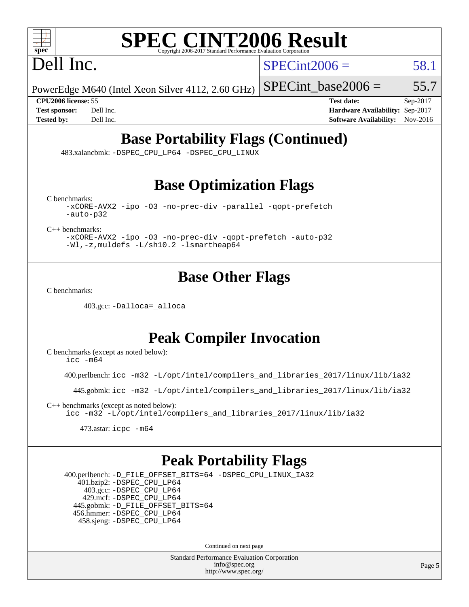

Dell Inc.

 $SPECint2006 = 58.1$  $SPECint2006 = 58.1$ 

PowerEdge M640 (Intel Xeon Silver 4112, 2.60 GHz)

SPECint base2006 =  $55.7$ 

**[CPU2006 license:](http://www.spec.org/auto/cpu2006/Docs/result-fields.html#CPU2006license)** 55 **[Test date:](http://www.spec.org/auto/cpu2006/Docs/result-fields.html#Testdate)** Sep-2017 **[Test sponsor:](http://www.spec.org/auto/cpu2006/Docs/result-fields.html#Testsponsor)** Dell Inc. **[Hardware Availability:](http://www.spec.org/auto/cpu2006/Docs/result-fields.html#HardwareAvailability)** Sep-2017 **[Tested by:](http://www.spec.org/auto/cpu2006/Docs/result-fields.html#Testedby)** Dell Inc. **[Software Availability:](http://www.spec.org/auto/cpu2006/Docs/result-fields.html#SoftwareAvailability)** Nov-2016

# **[Base Portability Flags \(Continued\)](http://www.spec.org/auto/cpu2006/Docs/result-fields.html#BasePortabilityFlags)**

483.xalancbmk: [-DSPEC\\_CPU\\_LP64](http://www.spec.org/cpu2006/results/res2017q4/cpu2006-20170918-49859.flags.html#suite_basePORTABILITY483_xalancbmk_DSPEC_CPU_LP64) [-DSPEC\\_CPU\\_LINUX](http://www.spec.org/cpu2006/results/res2017q4/cpu2006-20170918-49859.flags.html#b483.xalancbmk_baseCXXPORTABILITY_DSPEC_CPU_LINUX)

# **[Base Optimization Flags](http://www.spec.org/auto/cpu2006/Docs/result-fields.html#BaseOptimizationFlags)**

[C benchmarks](http://www.spec.org/auto/cpu2006/Docs/result-fields.html#Cbenchmarks):

[-xCORE-AVX2](http://www.spec.org/cpu2006/results/res2017q4/cpu2006-20170918-49859.flags.html#user_CCbase_f-xCORE-AVX2) [-ipo](http://www.spec.org/cpu2006/results/res2017q4/cpu2006-20170918-49859.flags.html#user_CCbase_f-ipo) [-O3](http://www.spec.org/cpu2006/results/res2017q4/cpu2006-20170918-49859.flags.html#user_CCbase_f-O3) [-no-prec-div](http://www.spec.org/cpu2006/results/res2017q4/cpu2006-20170918-49859.flags.html#user_CCbase_f-no-prec-div) [-parallel](http://www.spec.org/cpu2006/results/res2017q4/cpu2006-20170918-49859.flags.html#user_CCbase_f-parallel) [-qopt-prefetch](http://www.spec.org/cpu2006/results/res2017q4/cpu2006-20170918-49859.flags.html#user_CCbase_f-qopt-prefetch) [-auto-p32](http://www.spec.org/cpu2006/results/res2017q4/cpu2006-20170918-49859.flags.html#user_CCbase_f-auto-p32)

[C++ benchmarks:](http://www.spec.org/auto/cpu2006/Docs/result-fields.html#CXXbenchmarks)

[-xCORE-AVX2](http://www.spec.org/cpu2006/results/res2017q4/cpu2006-20170918-49859.flags.html#user_CXXbase_f-xCORE-AVX2) [-ipo](http://www.spec.org/cpu2006/results/res2017q4/cpu2006-20170918-49859.flags.html#user_CXXbase_f-ipo) [-O3](http://www.spec.org/cpu2006/results/res2017q4/cpu2006-20170918-49859.flags.html#user_CXXbase_f-O3) [-no-prec-div](http://www.spec.org/cpu2006/results/res2017q4/cpu2006-20170918-49859.flags.html#user_CXXbase_f-no-prec-div) [-qopt-prefetch](http://www.spec.org/cpu2006/results/res2017q4/cpu2006-20170918-49859.flags.html#user_CXXbase_f-qopt-prefetch) [-auto-p32](http://www.spec.org/cpu2006/results/res2017q4/cpu2006-20170918-49859.flags.html#user_CXXbase_f-auto-p32) [-Wl,-z,muldefs](http://www.spec.org/cpu2006/results/res2017q4/cpu2006-20170918-49859.flags.html#user_CXXbase_link_force_multiple1_74079c344b956b9658436fd1b6dd3a8a) [-L/sh10.2 -lsmartheap64](http://www.spec.org/cpu2006/results/res2017q4/cpu2006-20170918-49859.flags.html#user_CXXbase_SmartHeap64_63911d860fc08c15fa1d5bf319b9d8d5)

## **[Base Other Flags](http://www.spec.org/auto/cpu2006/Docs/result-fields.html#BaseOtherFlags)**

[C benchmarks](http://www.spec.org/auto/cpu2006/Docs/result-fields.html#Cbenchmarks):

403.gcc: [-Dalloca=\\_alloca](http://www.spec.org/cpu2006/results/res2017q4/cpu2006-20170918-49859.flags.html#b403.gcc_baseEXTRA_CFLAGS_Dalloca_be3056838c12de2578596ca5467af7f3)

## **[Peak Compiler Invocation](http://www.spec.org/auto/cpu2006/Docs/result-fields.html#PeakCompilerInvocation)**

[C benchmarks \(except as noted below\)](http://www.spec.org/auto/cpu2006/Docs/result-fields.html#Cbenchmarksexceptasnotedbelow):  $\text{icc } -\text{m64}$ 

400.perlbench: [icc -m32 -L/opt/intel/compilers\\_and\\_libraries\\_2017/linux/lib/ia32](http://www.spec.org/cpu2006/results/res2017q4/cpu2006-20170918-49859.flags.html#user_peakCCLD400_perlbench_intel_icc_c29f3ff5a7ed067b11e4ec10a03f03ae)

445.gobmk: [icc -m32 -L/opt/intel/compilers\\_and\\_libraries\\_2017/linux/lib/ia32](http://www.spec.org/cpu2006/results/res2017q4/cpu2006-20170918-49859.flags.html#user_peakCCLD445_gobmk_intel_icc_c29f3ff5a7ed067b11e4ec10a03f03ae)

[C++ benchmarks \(except as noted below\):](http://www.spec.org/auto/cpu2006/Docs/result-fields.html#CXXbenchmarksexceptasnotedbelow) [icc -m32 -L/opt/intel/compilers\\_and\\_libraries\\_2017/linux/lib/ia32](http://www.spec.org/cpu2006/results/res2017q4/cpu2006-20170918-49859.flags.html#user_CXXpeak_intel_icc_c29f3ff5a7ed067b11e4ec10a03f03ae)

473.astar: [icpc -m64](http://www.spec.org/cpu2006/results/res2017q4/cpu2006-20170918-49859.flags.html#user_peakCXXLD473_astar_intel_icpc_64bit_fc66a5337ce925472a5c54ad6a0de310)

### **[Peak Portability Flags](http://www.spec.org/auto/cpu2006/Docs/result-fields.html#PeakPortabilityFlags)**

 400.perlbench: [-D\\_FILE\\_OFFSET\\_BITS=64](http://www.spec.org/cpu2006/results/res2017q4/cpu2006-20170918-49859.flags.html#user_peakPORTABILITY400_perlbench_file_offset_bits_64_438cf9856305ebd76870a2c6dc2689ab) [-DSPEC\\_CPU\\_LINUX\\_IA32](http://www.spec.org/cpu2006/results/res2017q4/cpu2006-20170918-49859.flags.html#b400.perlbench_peakCPORTABILITY_DSPEC_CPU_LINUX_IA32) 401.bzip2: [-DSPEC\\_CPU\\_LP64](http://www.spec.org/cpu2006/results/res2017q4/cpu2006-20170918-49859.flags.html#suite_peakPORTABILITY401_bzip2_DSPEC_CPU_LP64) 403.gcc: [-DSPEC\\_CPU\\_LP64](http://www.spec.org/cpu2006/results/res2017q4/cpu2006-20170918-49859.flags.html#suite_peakPORTABILITY403_gcc_DSPEC_CPU_LP64) 429.mcf: [-DSPEC\\_CPU\\_LP64](http://www.spec.org/cpu2006/results/res2017q4/cpu2006-20170918-49859.flags.html#suite_peakPORTABILITY429_mcf_DSPEC_CPU_LP64) 445.gobmk: [-D\\_FILE\\_OFFSET\\_BITS=64](http://www.spec.org/cpu2006/results/res2017q4/cpu2006-20170918-49859.flags.html#user_peakPORTABILITY445_gobmk_file_offset_bits_64_438cf9856305ebd76870a2c6dc2689ab) 456.hmmer: [-DSPEC\\_CPU\\_LP64](http://www.spec.org/cpu2006/results/res2017q4/cpu2006-20170918-49859.flags.html#suite_peakPORTABILITY456_hmmer_DSPEC_CPU_LP64) 458.sjeng: [-DSPEC\\_CPU\\_LP64](http://www.spec.org/cpu2006/results/res2017q4/cpu2006-20170918-49859.flags.html#suite_peakPORTABILITY458_sjeng_DSPEC_CPU_LP64)

Continued on next page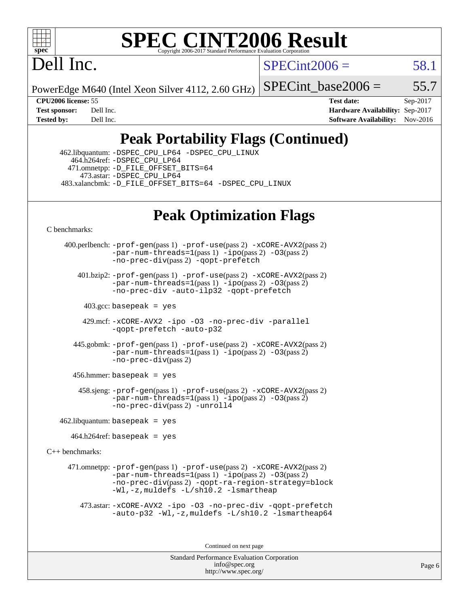

### **[SPEC CINT2006 Result](http://www.spec.org/auto/cpu2006/Docs/result-fields.html#SPECCINT2006Result)** Copyright 2006-2017 Standard Performance Evaluation C

Dell Inc.

 $SPECint2006 = 58.1$  $SPECint2006 = 58.1$ 

PowerEdge M640 (Intel Xeon Silver 4112, 2.60 GHz)

SPECint base2006 =  $55.7$ 

**[CPU2006 license:](http://www.spec.org/auto/cpu2006/Docs/result-fields.html#CPU2006license)** 55 **[Test date:](http://www.spec.org/auto/cpu2006/Docs/result-fields.html#Testdate)** Sep-2017 **[Test sponsor:](http://www.spec.org/auto/cpu2006/Docs/result-fields.html#Testsponsor)** Dell Inc. **[Hardware Availability:](http://www.spec.org/auto/cpu2006/Docs/result-fields.html#HardwareAvailability)** Sep-2017 **[Tested by:](http://www.spec.org/auto/cpu2006/Docs/result-fields.html#Testedby)** Dell Inc. **[Software Availability:](http://www.spec.org/auto/cpu2006/Docs/result-fields.html#SoftwareAvailability)** Nov-2016

# **[Peak Portability Flags \(Continued\)](http://www.spec.org/auto/cpu2006/Docs/result-fields.html#PeakPortabilityFlags)**

 462.libquantum: [-DSPEC\\_CPU\\_LP64](http://www.spec.org/cpu2006/results/res2017q4/cpu2006-20170918-49859.flags.html#suite_peakPORTABILITY462_libquantum_DSPEC_CPU_LP64) [-DSPEC\\_CPU\\_LINUX](http://www.spec.org/cpu2006/results/res2017q4/cpu2006-20170918-49859.flags.html#b462.libquantum_peakCPORTABILITY_DSPEC_CPU_LINUX) 464.h264ref: [-DSPEC\\_CPU\\_LP64](http://www.spec.org/cpu2006/results/res2017q4/cpu2006-20170918-49859.flags.html#suite_peakPORTABILITY464_h264ref_DSPEC_CPU_LP64) 471.omnetpp: [-D\\_FILE\\_OFFSET\\_BITS=64](http://www.spec.org/cpu2006/results/res2017q4/cpu2006-20170918-49859.flags.html#user_peakPORTABILITY471_omnetpp_file_offset_bits_64_438cf9856305ebd76870a2c6dc2689ab) 473.astar: [-DSPEC\\_CPU\\_LP64](http://www.spec.org/cpu2006/results/res2017q4/cpu2006-20170918-49859.flags.html#suite_peakPORTABILITY473_astar_DSPEC_CPU_LP64) 483.xalancbmk: [-D\\_FILE\\_OFFSET\\_BITS=64](http://www.spec.org/cpu2006/results/res2017q4/cpu2006-20170918-49859.flags.html#user_peakPORTABILITY483_xalancbmk_file_offset_bits_64_438cf9856305ebd76870a2c6dc2689ab) [-DSPEC\\_CPU\\_LINUX](http://www.spec.org/cpu2006/results/res2017q4/cpu2006-20170918-49859.flags.html#b483.xalancbmk_peakCXXPORTABILITY_DSPEC_CPU_LINUX)

# **[Peak Optimization Flags](http://www.spec.org/auto/cpu2006/Docs/result-fields.html#PeakOptimizationFlags)**

[C benchmarks](http://www.spec.org/auto/cpu2006/Docs/result-fields.html#Cbenchmarks):

 400.perlbench: [-prof-gen](http://www.spec.org/cpu2006/results/res2017q4/cpu2006-20170918-49859.flags.html#user_peakPASS1_CFLAGSPASS1_LDCFLAGS400_perlbench_prof_gen_e43856698f6ca7b7e442dfd80e94a8fc)(pass 1) [-prof-use](http://www.spec.org/cpu2006/results/res2017q4/cpu2006-20170918-49859.flags.html#user_peakPASS2_CFLAGSPASS2_LDCFLAGS400_perlbench_prof_use_bccf7792157ff70d64e32fe3e1250b55)(pass 2) [-xCORE-AVX2](http://www.spec.org/cpu2006/results/res2017q4/cpu2006-20170918-49859.flags.html#user_peakPASS2_CFLAGSPASS2_LDCFLAGS400_perlbench_f-xCORE-AVX2)(pass 2) [-par-num-threads=1](http://www.spec.org/cpu2006/results/res2017q4/cpu2006-20170918-49859.flags.html#user_peakPASS1_CFLAGSPASS1_LDCFLAGS400_perlbench_par_num_threads_786a6ff141b4e9e90432e998842df6c2)(pass 1) [-ipo](http://www.spec.org/cpu2006/results/res2017q4/cpu2006-20170918-49859.flags.html#user_peakPASS2_CFLAGSPASS2_LDCFLAGS400_perlbench_f-ipo)(pass 2) [-O3](http://www.spec.org/cpu2006/results/res2017q4/cpu2006-20170918-49859.flags.html#user_peakPASS2_CFLAGSPASS2_LDCFLAGS400_perlbench_f-O3)(pass 2) [-no-prec-div](http://www.spec.org/cpu2006/results/res2017q4/cpu2006-20170918-49859.flags.html#user_peakPASS2_CFLAGSPASS2_LDCFLAGS400_perlbench_f-no-prec-div)(pass 2) [-qopt-prefetch](http://www.spec.org/cpu2006/results/res2017q4/cpu2006-20170918-49859.flags.html#user_peakCOPTIMIZE400_perlbench_f-qopt-prefetch) 401.bzip2: [-prof-gen](http://www.spec.org/cpu2006/results/res2017q4/cpu2006-20170918-49859.flags.html#user_peakPASS1_CFLAGSPASS1_LDCFLAGS401_bzip2_prof_gen_e43856698f6ca7b7e442dfd80e94a8fc)(pass 1) [-prof-use](http://www.spec.org/cpu2006/results/res2017q4/cpu2006-20170918-49859.flags.html#user_peakPASS2_CFLAGSPASS2_LDCFLAGS401_bzip2_prof_use_bccf7792157ff70d64e32fe3e1250b55)(pass 2) [-xCORE-AVX2](http://www.spec.org/cpu2006/results/res2017q4/cpu2006-20170918-49859.flags.html#user_peakPASS2_CFLAGSPASS2_LDCFLAGS401_bzip2_f-xCORE-AVX2)(pass 2) [-par-num-threads=1](http://www.spec.org/cpu2006/results/res2017q4/cpu2006-20170918-49859.flags.html#user_peakPASS1_CFLAGSPASS1_LDCFLAGS401_bzip2_par_num_threads_786a6ff141b4e9e90432e998842df6c2)(pass 1) [-ipo](http://www.spec.org/cpu2006/results/res2017q4/cpu2006-20170918-49859.flags.html#user_peakPASS2_CFLAGSPASS2_LDCFLAGS401_bzip2_f-ipo)(pass 2) [-O3](http://www.spec.org/cpu2006/results/res2017q4/cpu2006-20170918-49859.flags.html#user_peakPASS2_CFLAGSPASS2_LDCFLAGS401_bzip2_f-O3)(pass 2) [-no-prec-div](http://www.spec.org/cpu2006/results/res2017q4/cpu2006-20170918-49859.flags.html#user_peakCOPTIMIZEPASS2_CFLAGSPASS2_LDCFLAGS401_bzip2_f-no-prec-div) [-auto-ilp32](http://www.spec.org/cpu2006/results/res2017q4/cpu2006-20170918-49859.flags.html#user_peakCOPTIMIZE401_bzip2_f-auto-ilp32) [-qopt-prefetch](http://www.spec.org/cpu2006/results/res2017q4/cpu2006-20170918-49859.flags.html#user_peakCOPTIMIZE401_bzip2_f-qopt-prefetch)  $403.\text{gcc: basepeak}$  = yes 429.mcf: [-xCORE-AVX2](http://www.spec.org/cpu2006/results/res2017q4/cpu2006-20170918-49859.flags.html#user_peakOPTIMIZE429_mcf_f-xCORE-AVX2) [-ipo](http://www.spec.org/cpu2006/results/res2017q4/cpu2006-20170918-49859.flags.html#user_peakOPTIMIZE429_mcf_f-ipo) [-O3](http://www.spec.org/cpu2006/results/res2017q4/cpu2006-20170918-49859.flags.html#user_peakOPTIMIZE429_mcf_f-O3) [-no-prec-div](http://www.spec.org/cpu2006/results/res2017q4/cpu2006-20170918-49859.flags.html#user_peakOPTIMIZE429_mcf_f-no-prec-div) [-parallel](http://www.spec.org/cpu2006/results/res2017q4/cpu2006-20170918-49859.flags.html#user_peakCOPTIMIZE429_mcf_f-parallel) [-qopt-prefetch](http://www.spec.org/cpu2006/results/res2017q4/cpu2006-20170918-49859.flags.html#user_peakCOPTIMIZE429_mcf_f-qopt-prefetch) [-auto-p32](http://www.spec.org/cpu2006/results/res2017q4/cpu2006-20170918-49859.flags.html#user_peakCOPTIMIZE429_mcf_f-auto-p32) 445.gobmk: [-prof-gen](http://www.spec.org/cpu2006/results/res2017q4/cpu2006-20170918-49859.flags.html#user_peakPASS1_CFLAGSPASS1_LDCFLAGS445_gobmk_prof_gen_e43856698f6ca7b7e442dfd80e94a8fc)(pass 1) [-prof-use](http://www.spec.org/cpu2006/results/res2017q4/cpu2006-20170918-49859.flags.html#user_peakPASS2_CFLAGSPASS2_LDCFLAGS445_gobmk_prof_use_bccf7792157ff70d64e32fe3e1250b55)(pass 2) [-xCORE-AVX2](http://www.spec.org/cpu2006/results/res2017q4/cpu2006-20170918-49859.flags.html#user_peakPASS2_CFLAGSPASS2_LDCFLAGS445_gobmk_f-xCORE-AVX2)(pass 2)  $-par-num-threads=1(pass 1) -ipo(pass 2) -O3(pass 2)$  $-par-num-threads=1(pass 1) -ipo(pass 2) -O3(pass 2)$  $-par-num-threads=1(pass 1) -ipo(pass 2) -O3(pass 2)$  $-par-num-threads=1(pass 1) -ipo(pass 2) -O3(pass 2)$  $-par-num-threads=1(pass 1) -ipo(pass 2) -O3(pass 2)$  $-par-num-threads=1(pass 1) -ipo(pass 2) -O3(pass 2)$ [-no-prec-div](http://www.spec.org/cpu2006/results/res2017q4/cpu2006-20170918-49859.flags.html#user_peakPASS2_CFLAGSPASS2_LDCFLAGS445_gobmk_f-no-prec-div)(pass 2) 456.hmmer: basepeak = yes 458.sjeng: [-prof-gen](http://www.spec.org/cpu2006/results/res2017q4/cpu2006-20170918-49859.flags.html#user_peakPASS1_CFLAGSPASS1_LDCFLAGS458_sjeng_prof_gen_e43856698f6ca7b7e442dfd80e94a8fc)(pass 1) [-prof-use](http://www.spec.org/cpu2006/results/res2017q4/cpu2006-20170918-49859.flags.html#user_peakPASS2_CFLAGSPASS2_LDCFLAGS458_sjeng_prof_use_bccf7792157ff70d64e32fe3e1250b55)(pass 2) [-xCORE-AVX2](http://www.spec.org/cpu2006/results/res2017q4/cpu2006-20170918-49859.flags.html#user_peakPASS2_CFLAGSPASS2_LDCFLAGS458_sjeng_f-xCORE-AVX2)(pass 2)  $-$ par-num-threads=1(pass 1)  $-$ ipo(pass 2)  $-$ O3(pass 2) [-no-prec-div](http://www.spec.org/cpu2006/results/res2017q4/cpu2006-20170918-49859.flags.html#user_peakPASS2_CFLAGSPASS2_LDCFLAGS458_sjeng_f-no-prec-div)(pass 2) [-unroll4](http://www.spec.org/cpu2006/results/res2017q4/cpu2006-20170918-49859.flags.html#user_peakCOPTIMIZE458_sjeng_f-unroll_4e5e4ed65b7fd20bdcd365bec371b81f) 462.libquantum: basepeak = yes  $464.h264$ ref: basepeak = yes [C++ benchmarks:](http://www.spec.org/auto/cpu2006/Docs/result-fields.html#CXXbenchmarks) 471.omnetpp:  $-prof-qen(pass 1)$   $-prof-use(pass 2)$  $-prof-use(pass 2)$   $-xCORE-AVX2(pass 2)$  $-xCORE-AVX2(pass 2)$  $-$ par-num-threads=1(pass 1)  $-$ ipo(pass 2)  $-$ O3(pass 2) [-no-prec-div](http://www.spec.org/cpu2006/results/res2017q4/cpu2006-20170918-49859.flags.html#user_peakPASS2_CXXFLAGSPASS2_LDCXXFLAGS471_omnetpp_f-no-prec-div)(pass 2) [-qopt-ra-region-strategy=block](http://www.spec.org/cpu2006/results/res2017q4/cpu2006-20170918-49859.flags.html#user_peakCXXOPTIMIZE471_omnetpp_f-qopt-ra-region-strategy_0f7b543d62da454b380160c0e3b28f94) [-Wl,-z,muldefs](http://www.spec.org/cpu2006/results/res2017q4/cpu2006-20170918-49859.flags.html#user_peakEXTRA_LDFLAGS471_omnetpp_link_force_multiple1_74079c344b956b9658436fd1b6dd3a8a) [-L/sh10.2 -lsmartheap](http://www.spec.org/cpu2006/results/res2017q4/cpu2006-20170918-49859.flags.html#user_peakEXTRA_LIBS471_omnetpp_SmartHeap_b831f2d313e2fffa6dfe3f00ffc1f1c0) 473.astar: [-xCORE-AVX2](http://www.spec.org/cpu2006/results/res2017q4/cpu2006-20170918-49859.flags.html#user_peakOPTIMIZE473_astar_f-xCORE-AVX2) [-ipo](http://www.spec.org/cpu2006/results/res2017q4/cpu2006-20170918-49859.flags.html#user_peakOPTIMIZE473_astar_f-ipo) [-O3](http://www.spec.org/cpu2006/results/res2017q4/cpu2006-20170918-49859.flags.html#user_peakOPTIMIZE473_astar_f-O3) [-no-prec-div](http://www.spec.org/cpu2006/results/res2017q4/cpu2006-20170918-49859.flags.html#user_peakOPTIMIZE473_astar_f-no-prec-div) [-qopt-prefetch](http://www.spec.org/cpu2006/results/res2017q4/cpu2006-20170918-49859.flags.html#user_peakCXXOPTIMIZE473_astar_f-qopt-prefetch) [-auto-p32](http://www.spec.org/cpu2006/results/res2017q4/cpu2006-20170918-49859.flags.html#user_peakCXXOPTIMIZE473_astar_f-auto-p32) [-Wl,-z,muldefs](http://www.spec.org/cpu2006/results/res2017q4/cpu2006-20170918-49859.flags.html#user_peakEXTRA_LDFLAGS473_astar_link_force_multiple1_74079c344b956b9658436fd1b6dd3a8a) [-L/sh10.2 -lsmartheap64](http://www.spec.org/cpu2006/results/res2017q4/cpu2006-20170918-49859.flags.html#user_peakEXTRA_LIBS473_astar_SmartHeap64_63911d860fc08c15fa1d5bf319b9d8d5) Continued on next page